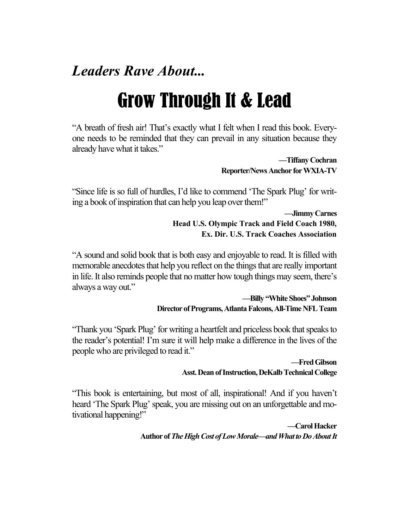#### *Leaders Rave About...*

# Grow Through It & Lead

"A breath of fresh air! That's exactly what I felt when I read this book. Everyone needs to be reminded that they can prevail in any situation because they already have what it takes."

> **—Tiffany Cochran Reporter/News Anchor for WXIA-TV**

"Since life is so full of hurdles, I'd like to commend 'The Spark Plug' for writing a book of inspiration that can help you leap over them!"

> **—Jimmy Carnes Head U.S. Olympic Track and Field Coach 1980, Ex. Dir. U.S. Track Coaches Association**

"A sound and solid book that is both easy and enjoyable to read. It is filled with memorable anecdotes that help you reflect on the things that are really important in life. It also reminds people that no matter how tough things may seem, there's always a way out."

> **—Billy "White Shoes" Johnson Director of Programs, Atlanta Falcons, All-Time NFL Team**

"Thank you 'Spark Plug' for writing a heartfelt and priceless book that speaks to the reader's potential! I'm sure it will help make a difference in the lives of the people who are privileged to read it."

> **—Fred Gibson Asst. Dean of Instruction, DeKalb Technical College**

"This book is entertaining, but most of all, inspirational! And if you haven't heard 'The Spark Plug' speak, you are missing out on an unforgettable and motivational happening!"

> **—Carol Hacker Author of** *The High Cost of Low Morale—and What to Do About It*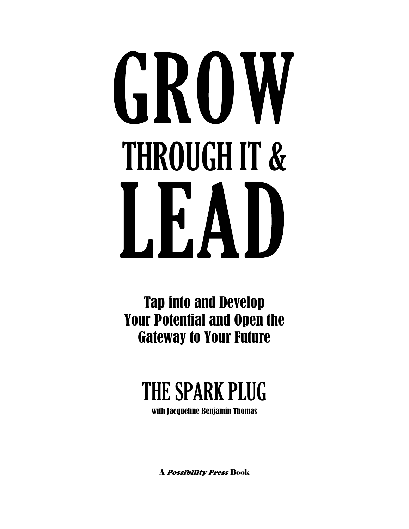# GROW THROUGH IT & LEAD

Tap into and Develop Your Potential and Open the Gateway to Your Future

# THE SPARK PLUG

with Jacqueline Benjamin Thomas

A Possibility Press Book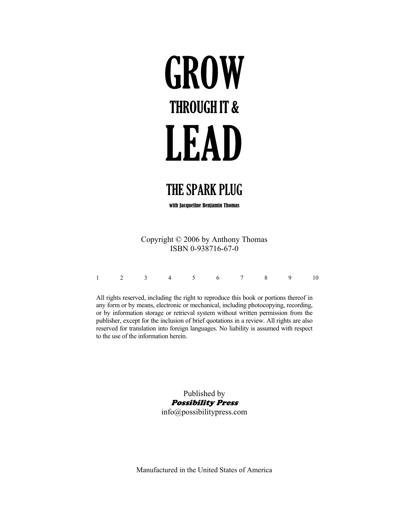# GROW THROUGH IT & LEAD

# THE SPARK PLUG

with Jacqueline Benjamin Thomas

Copyright © 2006 by Anthony Thomas ISBN 0-938716-67-0

|  |  | 1 2 3 4 5 6 7 8 9 10 |  |  |  |
|--|--|----------------------|--|--|--|
|  |  |                      |  |  |  |

All rights reserved, including the right to reproduce this book or portions thereof in any form or by means, electronic or mechanical, including photocopying, recording, or by information storage or retrieval system without written permission from the publisher, except for the inclusion of brief quotations in a review. All rights are also reserved for translation into foreign languages. No liability is assumed with respect to the use of the information herein.

> Published by Possibility Press info@possibilitypress.com

Manufactured in the United States of America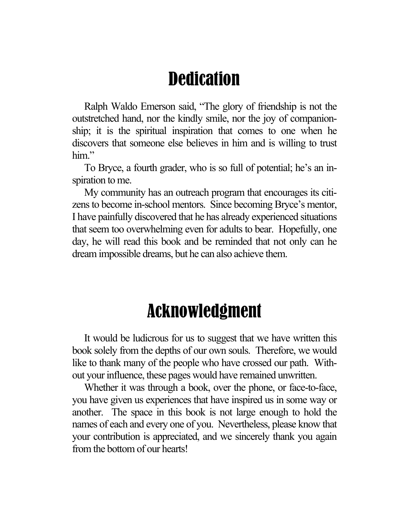#### **Dedication**

 Ralph Waldo Emerson said, "The glory of friendship is not the outstretched hand, nor the kindly smile, nor the joy of companionship; it is the spiritual inspiration that comes to one when he discovers that someone else believes in him and is willing to trust him."

 To Bryce, a fourth grader, who is so full of potential; he's an inspiration to me.

 My community has an outreach program that encourages its citizens to become in-school mentors. Since becoming Bryce's mentor, I have painfully discovered that he has already experienced situations that seem too overwhelming even for adults to bear. Hopefully, one day, he will read this book and be reminded that not only can he dream impossible dreams, but he can also achieve them.

## Acknowledgment

It would be ludicrous for us to suggest that we have written this book solely from the depths of our own souls. Therefore, we would like to thank many of the people who have crossed our path. Without your influence, these pages would have remained unwritten.

Whether it was through a book, over the phone, or face-to-face, you have given us experiences that have inspired us in some way or another. The space in this book is not large enough to hold the names of each and every one of you. Nevertheless, please know that your contribution is appreciated, and we sincerely thank you again from the bottom of our hearts!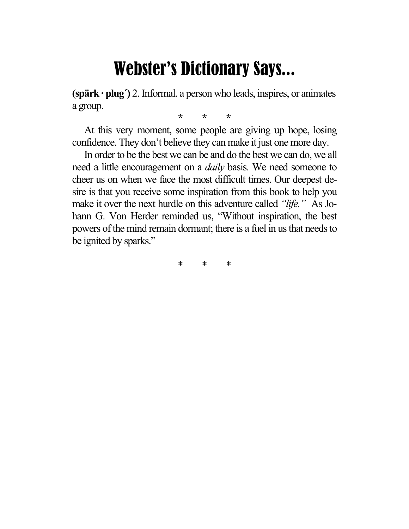### Webster's Dictionary Says...

**(spärk · plug΄)** 2. Informal. a person who leads, inspires, or animates a group.

**\* \* \*** 

 At this very moment, some people are giving up hope, losing confidence. They don't believe they can make it just one more day.

 In order to be the best we can be and do the best we can do, we all need a little encouragement on a *daily* basis. We need someone to cheer us on when we face the most difficult times. Our deepest desire is that you receive some inspiration from this book to help you make it over the next hurdle on this adventure called *"life."* As Johann G. Von Herder reminded us, "Without inspiration, the best powers of the mind remain dormant; there is a fuel in us that needs to be ignited by sparks."

\* \* \*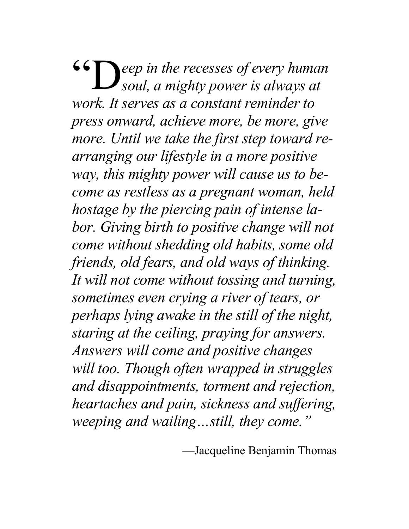*eep in the recesses of every human*  **Soul, a mighty power is always at always** at *work. It serves as a constant reminder to press onward, achieve more, be more, give more. Until we take the first step toward rearranging our lifestyle in a more positive way, this mighty power will cause us to become as restless as a pregnant woman, held hostage by the piercing pain of intense labor. Giving birth to positive change will not come without shedding old habits, some old friends, old fears, and old ways of thinking. It will not come without tossing and turning, sometimes even crying a river of tears, or perhaps lying awake in the still of the night, staring at the ceiling, praying for answers. Answers will come and positive changes will too. Though often wrapped in struggles and disappointments, torment and rejection, heartaches and pain, sickness and suffering, weeping and wailing…still, they come."* 

—Jacqueline Benjamin Thomas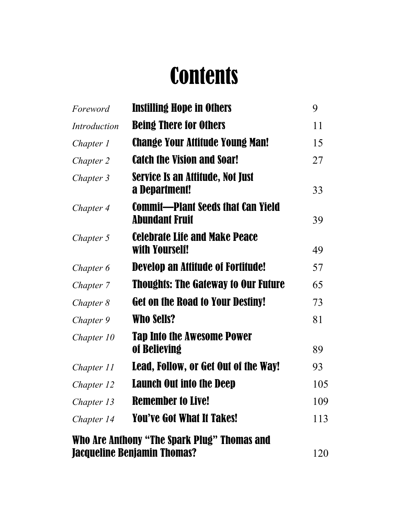# **Contents**

| Foreword            | <b>Instilling Hope in Others</b>                                                  | 9   |
|---------------------|-----------------------------------------------------------------------------------|-----|
| <i>Introduction</i> | <b>Being There for Others</b>                                                     | 11  |
| Chapter 1           | <b>Change Your Attitude Young Man!</b>                                            | 15  |
| Chapter 2           | <b>Catch the Vision and Soar!</b>                                                 | 27  |
| Chapter 3           | Service Is an Attitude, Not Just<br>a Department!                                 | 33  |
| Chapter 4           | Commit—Plant Seeds that Can Yield<br><b>Abundant Fruit</b>                        | 39  |
| Chapter 5           | <b>Celebrate Life and Make Peace</b><br><b>with Yourself!</b>                     | 49  |
| Chapter 6           | <b>Develop an Attitude of Fortitude!</b>                                          | 57  |
| Chapter 7           | <b>Thoughts: The Gateway to Our Future</b>                                        | 65  |
| Chapter 8           | Get on the Road to Your Destiny!                                                  | 73  |
| Chapter 9           | Who Sells?                                                                        | 81  |
| Chapter 10          | <b>Tap Into the Awesome Power</b><br>of Believing                                 | 89  |
| Chapter 11          | <b>Lead, Follow, or Get Out of the Way!</b>                                       | 93  |
| Chapter 12          | Launch Out into the Deep                                                          | 105 |
| Chapter 13          | <b>Remember to Live!</b>                                                          | 109 |
| Chapter 14          | <b>You've Got What It Takes!</b>                                                  | 113 |
|                     | Who Are Anthony "The Spark Plug" Thomas and<br><b>Jacqueline Benjamin Thomas?</b> | 120 |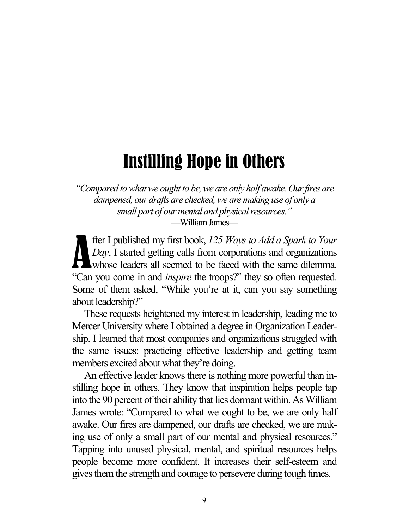# Instilling Hope in Others

*"Compared to what we ought to be, we are only half awake. Our fires are dampened, our drafts are checked, we are making use of only a small part of our mental and physical resources."*  —William James—

fter I published my first book, *125 Ways to Add a Spark to Your Day*, I started getting calls from corporations and organizations whose leaders all seemed to be faced with the same dilemma. "Can you come in and *inspire* the troops?" they so often requested. Some of them asked, "While you're at it, can you say something about leadership?" A

These requests heightened my interest in leadership, leading me to Mercer University where I obtained a degree in Organization Leadership. I learned that most companies and organizations struggled with the same issues: practicing effective leadership and getting team members excited about what they're doing.

 An effective leader knows there is nothing more powerful than instilling hope in others. They know that inspiration helps people tap into the 90 percent of their ability that lies dormant within. As William James wrote: "Compared to what we ought to be, we are only half awake. Our fires are dampened, our drafts are checked, we are making use of only a small part of our mental and physical resources." Tapping into unused physical, mental, and spiritual resources helps people become more confident. It increases their self-esteem and gives them the strength and courage to persevere during tough times.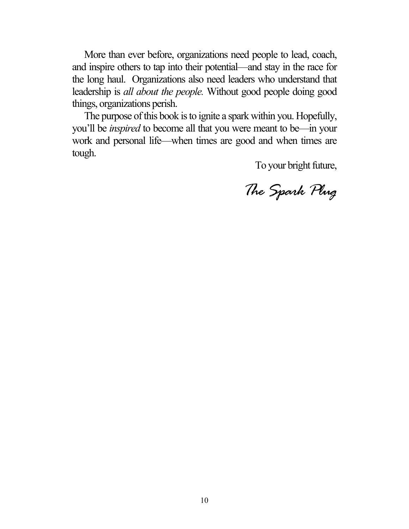More than ever before, organizations need people to lead, coach, and inspire others to tap into their potential—and stay in the race for the long haul. Organizations also need leaders who understand that leadership is *all about the people.* Without good people doing good things, organizations perish.

 The purpose of this book is to ignite a spark within you. Hopefully, you'll be *inspired* to become all that you were meant to be—in your work and personal life—when times are good and when times are tough.

To your bright future,

*The Spark Plug*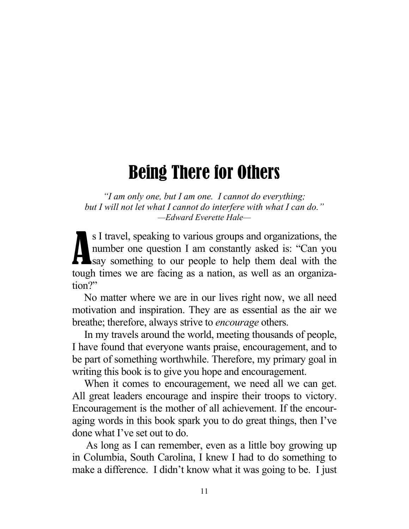#### Being There for Others

*"I am only one, but I am one. I cannot do everything; but I will not let what I cannot do interfere with what I can do." —Edward Everette Hale—* 

s I travel, speaking to various groups and organizations, the number one question I am constantly asked is: "Can you say something to our people to help them deal with the tough times we are facing as a nation, as well as an organization?" A

 No matter where we are in our lives right now, we all need motivation and inspiration. They are as essential as the air we breathe; therefore, always strive to *encourage* others.

In my travels around the world, meeting thousands of people, I have found that everyone wants praise, encouragement, and to be part of something worthwhile. Therefore, my primary goal in writing this book is to give you hope and encouragement.

 When it comes to encouragement, we need all we can get. All great leaders encourage and inspire their troops to victory. Encouragement is the mother of all achievement. If the encouraging words in this book spark you to do great things, then I've done what I've set out to do.

 As long as I can remember, even as a little boy growing up in Columbia, South Carolina, I knew I had to do something to make a difference. I didn't know what it was going to be. I just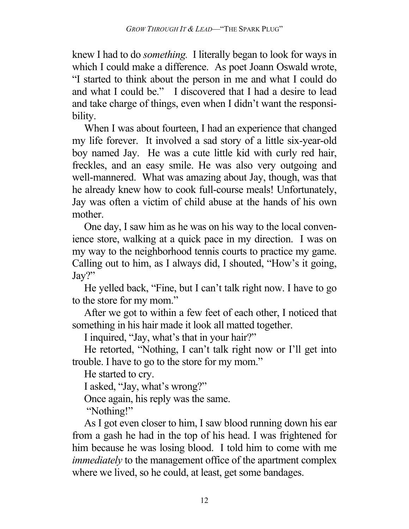knew I had to do *something.* I literally began to look for ways in which I could make a difference. As poet Joann Oswald wrote, "I started to think about the person in me and what I could do and what I could be."I discovered that I had a desire to lead and take charge of things, even when I didn't want the responsibility.

 When I was about fourteen, I had an experience that changed my life forever. It involved a sad story of a little six-year-old boy named Jay. He was a cute little kid with curly red hair, freckles, and an easy smile. He was also very outgoing and well-mannered. What was amazing about Jay, though, was that he already knew how to cook full-course meals! Unfortunately, Jay was often a victim of child abuse at the hands of his own mother.

 One day, I saw him as he was on his way to the local convenience store, walking at a quick pace in my direction. I was on my way to the neighborhood tennis courts to practice my game. Calling out to him, as I always did, I shouted, "How's it going, Jay?"

 He yelled back, "Fine, but I can't talk right now. I have to go to the store for my mom."

 After we got to within a few feet of each other, I noticed that something in his hair made it look all matted together.

I inquired, "Jay, what's that in your hair?"

 He retorted, "Nothing, I can't talk right now or I'll get into trouble. I have to go to the store for my mom."

He started to cry.

I asked, "Jay, what's wrong?"

Once again, his reply was the same.

"Nothing!"

 As I got even closer to him, I saw blood running down his ear from a gash he had in the top of his head. I was frightened for him because he was losing blood. I told him to come with me *immediately* to the management office of the apartment complex where we lived, so he could, at least, get some bandages.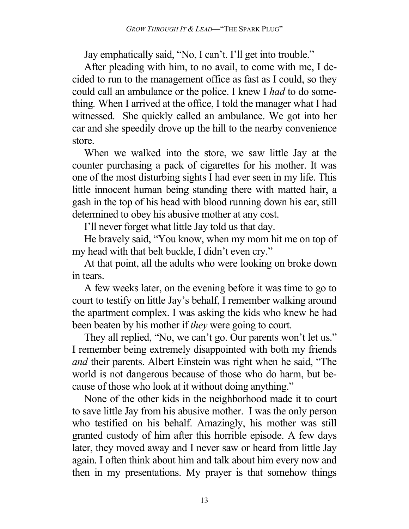Jay emphatically said, "No, I can't. I'll get into trouble."

 After pleading with him, to no avail, to come with me, I decided to run to the management office as fast as I could, so they could call an ambulance or the police. I knew I *had* to do something*.* When I arrived at the office, I told the manager what I had witnessed. She quickly called an ambulance. We got into her car and she speedily drove up the hill to the nearby convenience store.

 When we walked into the store, we saw little Jay at the counter purchasing a pack of cigarettes for his mother. It was one of the most disturbing sights I had ever seen in my life. This little innocent human being standing there with matted hair, a gash in the top of his head with blood running down his ear, still determined to obey his abusive mother at any cost.

I'll never forget what little Jay told us that day.

 He bravely said, "You know, when my mom hit me on top of my head with that belt buckle, I didn't even cry."

 At that point, all the adults who were looking on broke down in tears.

 A few weeks later, on the evening before it was time to go to court to testify on little Jay's behalf, I remember walking around the apartment complex. I was asking the kids who knew he had been beaten by his mother if *they* were going to court.

 They all replied, "No, we can't go. Our parents won't let us." I remember being extremely disappointed with both my friends *and* their parents. Albert Einstein was right when he said, "The world is not dangerous because of those who do harm, but because of those who look at it without doing anything."

 None of the other kids in the neighborhood made it to court to save little Jay from his abusive mother. I was the only person who testified on his behalf. Amazingly, his mother was still granted custody of him after this horrible episode. A few days later, they moved away and I never saw or heard from little Jay again. I often think about him and talk about him every now and then in my presentations. My prayer is that somehow things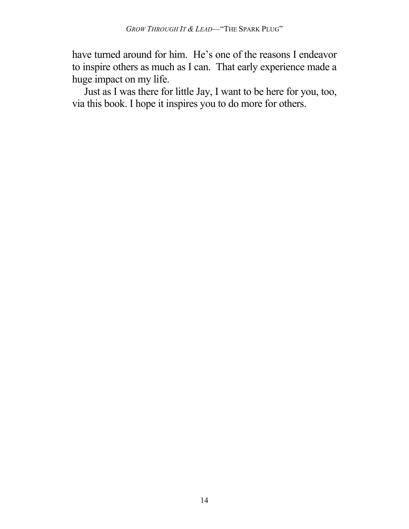have turned around for him. He's one of the reasons I endeavor to inspire others as much as I can. That early experience made a huge impact on my life.

 Just as I was there for little Jay, I want to be here for you, too, via this book. I hope it inspires you to do more for others.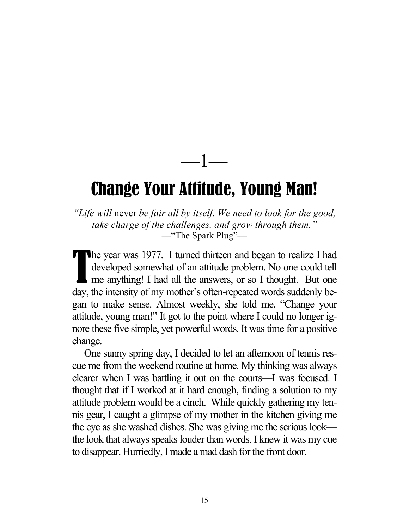# Change Your Attitude, Young Man!

—1—

*"Life will* never *be fair all by itself. We need to look for the good, take charge of the challenges, and grow through them."*  —"The Spark Plug"—

The year was 1977. I turned thirteen and began to realize I had developed somewhat of an attitude problem. No one could tell me anything! I had all the answers, or so I thought. But one developed somewhat of an attitude problem. No one could tell me anything! I had all the answers, or so I thought. But one day, the intensity of my mother's often-repeated words suddenly began to make sense. Almost weekly, she told me, "Change your attitude, young man!" It got to the point where I could no longer ignore these five simple, yet powerful words. It was time for a positive change.

 One sunny spring day, I decided to let an afternoon of tennis rescue me from the weekend routine at home. My thinking was always clearer when I was battling it out on the courts—I was focused. I thought that if I worked at it hard enough, finding a solution to my attitude problem would be a cinch. While quickly gathering my tennis gear, I caught a glimpse of my mother in the kitchen giving me the eye as she washed dishes. She was giving me the serious look the look that always speaks louder than words. I knew it was my cue to disappear. Hurriedly, I made a mad dash for the front door.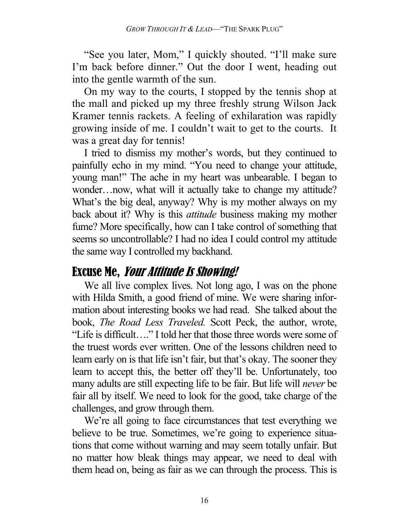"See you later, Mom," I quickly shouted. "I'll make sure I'm back before dinner." Out the door I went, heading out into the gentle warmth of the sun.

 On my way to the courts, I stopped by the tennis shop at the mall and picked up my three freshly strung Wilson Jack Kramer tennis rackets. A feeling of exhilaration was rapidly growing inside of me. I couldn't wait to get to the courts. It was a great day for tennis!

 I tried to dismiss my mother's words, but they continued to painfully echo in my mind. "You need to change your attitude, young man!" The ache in my heart was unbearable. I began to wonder...now, what will it actually take to change my attitude? What's the big deal, anyway? Why is my mother always on my back about it? Why is this *attitude* business making my mother fume? More specifically, how can I take control of something that seems so uncontrollable? I had no idea I could control my attitude the same way I controlled my backhand.

#### Excuse Me, Your Attitude Is Showing!

We all live complex lives. Not long ago, I was on the phone with Hilda Smith, a good friend of mine. We were sharing information about interesting books we had read. She talked about the book, *The Road Less Traveled.* Scott Peck, the author, wrote, "Life is difficult…." I told her that those three words were some of the truest words ever written. One of the lessons children need to learn early on is that life isn't fair, but that's okay. The sooner they learn to accept this, the better off they'll be. Unfortunately, too many adults are still expecting life to be fair. But life will *never* be fair all by itself. We need to look for the good, take charge of the challenges, and grow through them.

 We're all going to face circumstances that test everything we believe to be true. Sometimes, we're going to experience situations that come without warning and may seem totally unfair. But no matter how bleak things may appear, we need to deal with them head on, being as fair as we can through the process. This is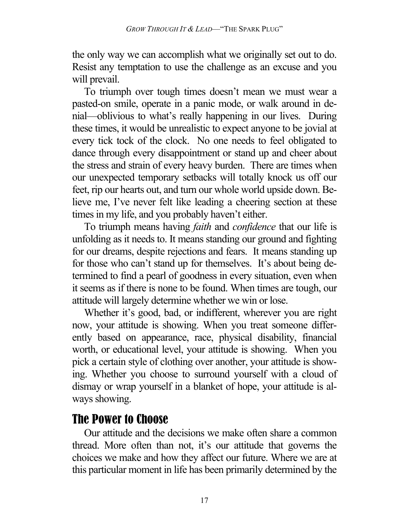the only way we can accomplish what we originally set out to do. Resist any temptation to use the challenge as an excuse and you will prevail.

 To triumph over tough times doesn't mean we must wear a pasted-on smile, operate in a panic mode, or walk around in denial—oblivious to what's really happening in our lives. During these times, it would be unrealistic to expect anyone to be jovial at every tick tock of the clock. No one needs to feel obligated to dance through every disappointment or stand up and cheer about the stress and strain of every heavy burden. There are times when our unexpected temporary setbacks will totally knock us off our feet, rip our hearts out, and turn our whole world upside down. Believe me, I've never felt like leading a cheering section at these times in my life, and you probably haven't either.

 To triumph means having *faith* and *confidence* that our life is unfolding as it needs to. It means standing our ground and fighting for our dreams, despite rejections and fears. It means standing up for those who can't stand up for themselves. It's about being determined to find a pearl of goodness in every situation, even when it seems as if there is none to be found. When times are tough, our attitude will largely determine whether we win or lose.

 Whether it's good, bad, or indifferent, wherever you are right now, your attitude is showing. When you treat someone differently based on appearance, race, physical disability, financial worth, or educational level, your attitude is showing. When you pick a certain style of clothing over another, your attitude is showing. Whether you choose to surround yourself with a cloud of dismay or wrap yourself in a blanket of hope, your attitude is always showing.

#### The Power to Choose

Our attitude and the decisions we make often share a common thread. More often than not, it's our attitude that governs the choices we make and how they affect our future. Where we are at this particular moment in life has been primarily determined by the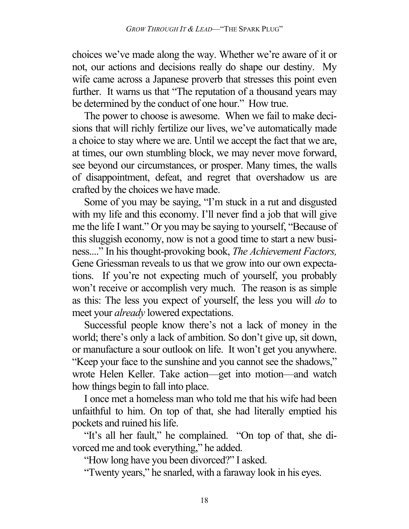choices we've made along the way. Whether we're aware of it or not, our actions and decisions really do shape our destiny. My wife came across a Japanese proverb that stresses this point even further. It warns us that "The reputation of a thousand years may be determined by the conduct of one hour." How true.

 The power to choose is awesome. When we fail to make decisions that will richly fertilize our lives, we've automatically made a choice to stay where we are. Until we accept the fact that we are, at times, our own stumbling block, we may never move forward, see beyond our circumstances, or prosper. Many times, the walls of disappointment, defeat, and regret that overshadow us are crafted by the choices we have made.

 Some of you may be saying, "I'm stuck in a rut and disgusted with my life and this economy. I'll never find a job that will give me the life I want." Or you may be saying to yourself, "Because of this sluggish economy, now is not a good time to start a new business...." In his thought-provoking book, *The Achievement Factors,* Gene Griessman reveals to us that we grow into our own expectations. If you're not expecting much of yourself, you probably won't receive or accomplish very much. The reason is as simple as this: The less you expect of yourself, the less you will *do* to meet your *already* lowered expectations.

 Successful people know there's not a lack of money in the world; there's only a lack of ambition. So don't give up, sit down, or manufacture a sour outlook on life. It won't get you anywhere. "Keep your face to the sunshine and you cannot see the shadows," wrote Helen Keller. Take action—get into motion—and watch how things begin to fall into place.

I once met a homeless man who told me that his wife had been unfaithful to him. On top of that, she had literally emptied his pockets and ruined his life.

"It's all her fault," he complained. "On top of that, she divorced me and took everything," he added.

"How long have you been divorced?" I asked.

"Twenty years," he snarled, with a faraway look in his eyes.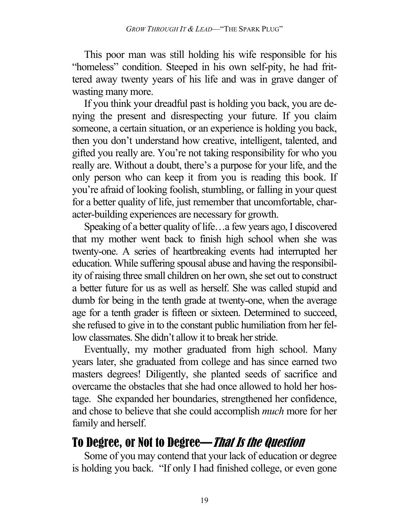This poor man was still holding his wife responsible for his "homeless" condition. Steeped in his own self-pity, he had frittered away twenty years of his life and was in grave danger of wasting many more.

 If you think your dreadful past is holding you back, you are denying the present and disrespecting your future. If you claim someone, a certain situation, or an experience is holding you back, then you don't understand how creative, intelligent, talented, and gifted you really are. You're not taking responsibility for who you really are. Without a doubt, there's a purpose for your life, and the only person who can keep it from you is reading this book. If you're afraid of looking foolish, stumbling, or falling in your quest for a better quality of life, just remember that uncomfortable, character-building experiences are necessary for growth.

 Speaking of a better quality of life…a few years ago, I discovered that my mother went back to finish high school when she was twenty-one. A series of heartbreaking events had interrupted her education. While suffering spousal abuse and having the responsibility of raising three small children on her own, she set out to construct a better future for us as well as herself. She was called stupid and dumb for being in the tenth grade at twenty-one, when the average age for a tenth grader is fifteen or sixteen. Determined to succeed, she refused to give in to the constant public humiliation from her fellow classmates. She didn't allow it to break her stride.

 Eventually, my mother graduated from high school. Many years later, she graduated from college and has since earned two masters degrees! Diligently, she planted seeds of sacrifice and overcame the obstacles that she had once allowed to hold her hostage. She expanded her boundaries, strengthened her confidence, and chose to believe that she could accomplish *much* more for her family and herself.

#### To Degree, or Not to Degree—*That Is the Question*

Some of you may contend that your lack of education or degree is holding you back. "If only I had finished college, or even gone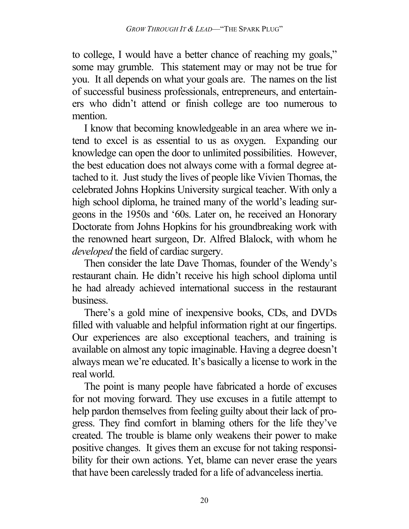to college, I would have a better chance of reaching my goals," some may grumble. This statement may or may not be true for you. It all depends on what your goals are. The names on the list of successful business professionals, entrepreneurs, and entertainers who didn't attend or finish college are too numerous to mention.

 I know that becoming knowledgeable in an area where we intend to excel is as essential to us as oxygen. Expanding our knowledge can open the door to unlimited possibilities. However, the best education does not always come with a formal degree attached to it. Just study the lives of people like Vivien Thomas, the celebrated Johns Hopkins University surgical teacher. With only a high school diploma, he trained many of the world's leading surgeons in the 1950s and '60s. Later on, he received an Honorary Doctorate from Johns Hopkins for his groundbreaking work with the renowned heart surgeon, Dr. Alfred Blalock, with whom he *developed* the field of cardiac surgery.

 Then consider the late Dave Thomas, founder of the Wendy's restaurant chain. He didn't receive his high school diploma until he had already achieved international success in the restaurant business.

 There's a gold mine of inexpensive books, CDs, and DVDs filled with valuable and helpful information right at our fingertips. Our experiences are also exceptional teachers, and training is available on almost any topic imaginable. Having a degree doesn't always mean we're educated. It's basically a license to work in the real world.

 The point is many people have fabricated a horde of excuses for not moving forward. They use excuses in a futile attempt to help pardon themselves from feeling guilty about their lack of progress. They find comfort in blaming others for the life they've created. The trouble is blame only weakens their power to make positive changes. It gives them an excuse for not taking responsibility for their own actions. Yet, blame can never erase the years that have been carelessly traded for a life of advanceless inertia.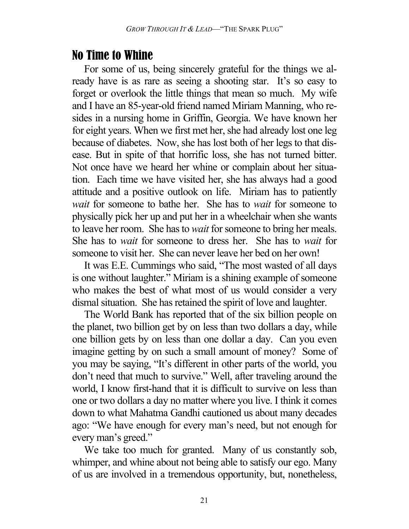#### No Time to Whine

For some of us, being sincerely grateful for the things we already have is as rare as seeing a shooting star. It's so easy to forget or overlook the little things that mean so much. My wife and I have an 85-year-old friend named Miriam Manning, who resides in a nursing home in Griffin, Georgia. We have known her for eight years. When we first met her, she had already lost one leg because of diabetes. Now, she has lost both of her legs to that disease. But in spite of that horrific loss, she has not turned bitter. Not once have we heard her whine or complain about her situation. Each time we have visited her, she has always had a good attitude and a positive outlook on life. Miriam has to patiently *wait* for someone to bathe her. She has to *wait* for someone to physically pick her up and put her in a wheelchair when she wants to leave her room. She has to *wait* for someone to bring her meals. She has to *wait* for someone to dress her. She has to *wait* for someone to visit her. She can never leave her bed on her own!

 It was E.E. Cummings who said, "The most wasted of all days is one without laughter." Miriam is a shining example of someone who makes the best of what most of us would consider a very dismal situation. She has retained the spirit of love and laughter.

 The World Bank has reported that of the six billion people on the planet, two billion get by on less than two dollars a day, while one billion gets by on less than one dollar a day. Can you even imagine getting by on such a small amount of money? Some of you may be saying, "It's different in other parts of the world, you don't need that much to survive." Well, after traveling around the world, I know first-hand that it is difficult to survive on less than one or two dollars a day no matter where you live. I think it comes down to what Mahatma Gandhi cautioned us about many decades ago: "We have enough for every man's need, but not enough for every man's greed."

 We take too much for granted. Many of us constantly sob, whimper, and whine about not being able to satisfy our ego. Many of us are involved in a tremendous opportunity, but, nonetheless,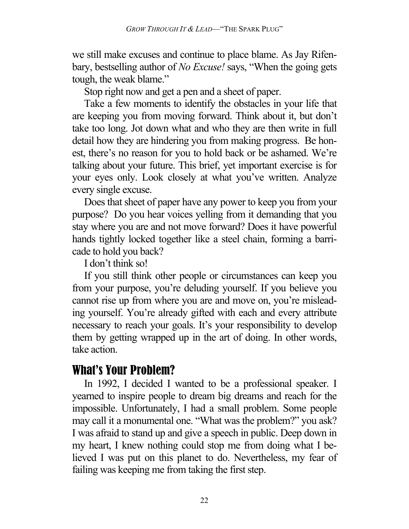we still make excuses and continue to place blame. As Jay Rifenbary, bestselling author of *No Excuse!* says, "When the going gets tough, the weak blame."

Stop right now and get a pen and a sheet of paper.

 Take a few moments to identify the obstacles in your life that are keeping you from moving forward. Think about it, but don't take too long. Jot down what and who they are then write in full detail how they are hindering you from making progress. Be honest, there's no reason for you to hold back or be ashamed. We're talking about your future. This brief, yet important exercise is for your eyes only. Look closely at what you've written. Analyze every single excuse.

 Does that sheet of paper have any power to keep you from your purpose? Do you hear voices yelling from it demanding that you stay where you are and not move forward? Does it have powerful hands tightly locked together like a steel chain, forming a barricade to hold you back?

I don't think so!

If you still think other people or circumstances can keep you from your purpose, you're deluding yourself. If you believe you cannot rise up from where you are and move on, you're misleading yourself. You're already gifted with each and every attribute necessary to reach your goals. It's your responsibility to develop them by getting wrapped up in the art of doing. In other words, take action.

#### What's Your Problem?

In 1992, I decided I wanted to be a professional speaker. I yearned to inspire people to dream big dreams and reach for the impossible. Unfortunately, I had a small problem. Some people may call it a monumental one. "What was the problem?" you ask? I was afraid to stand up and give a speech in public. Deep down in my heart, I knew nothing could stop me from doing what I believed I was put on this planet to do. Nevertheless, my fear of failing was keeping me from taking the first step.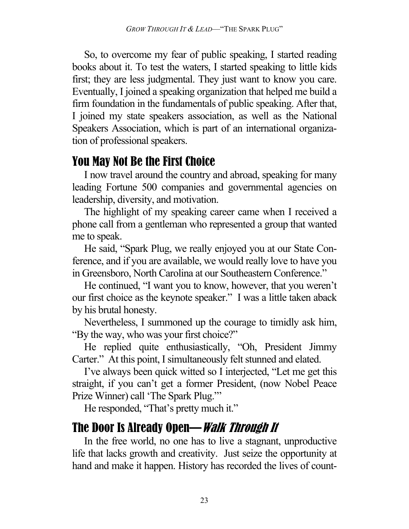So, to overcome my fear of public speaking, I started reading books about it. To test the waters, I started speaking to little kids first; they are less judgmental. They just want to know you care. Eventually, I joined a speaking organization that helped me build a firm foundation in the fundamentals of public speaking. After that, I joined my state speakers association, as well as the National Speakers Association, which is part of an international organization of professional speakers.

#### You May Not Be the First Choice

I now travel around the country and abroad, speaking for many leading Fortune 500 companies and governmental agencies on leadership, diversity, and motivation.

 The highlight of my speaking career came when I received a phone call from a gentleman who represented a group that wanted me to speak.

 He said, "Spark Plug, we really enjoyed you at our State Conference, and if you are available, we would really love to have you in Greensboro, North Carolina at our Southeastern Conference."

 He continued, "I want you to know, however, that you weren't our first choice as the keynote speaker." I was a little taken aback by his brutal honesty.

 Nevertheless, I summoned up the courage to timidly ask him, "By the way, who was your first choice?"

 He replied quite enthusiastically, "Oh, President Jimmy Carter." At this point, I simultaneously felt stunned and elated.

 I've always been quick witted so I interjected, "Let me get this straight, if you can't get a former President, (now Nobel Peace Prize Winner) call 'The Spark Plug."'

He responded, "That's pretty much it."

#### The Door Is Already Open—*Walk Through It*

In the free world, no one has to live a stagnant, unproductive life that lacks growth and creativity. Just seize the opportunity at hand and make it happen. History has recorded the lives of count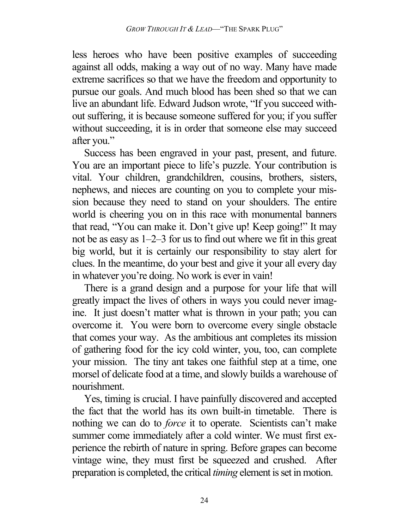less heroes who have been positive examples of succeeding against all odds, making a way out of no way. Many have made extreme sacrifices so that we have the freedom and opportunity to pursue our goals. And much blood has been shed so that we can live an abundant life. Edward Judson wrote, "If you succeed without suffering, it is because someone suffered for you; if you suffer without succeeding, it is in order that someone else may succeed after you."

 Success has been engraved in your past, present, and future. You are an important piece to life's puzzle. Your contribution is vital. Your children, grandchildren, cousins, brothers, sisters, nephews, and nieces are counting on you to complete your mission because they need to stand on your shoulders. The entire world is cheering you on in this race with monumental banners that read, "You can make it. Don't give up! Keep going!" It may not be as easy as 1–2–3 for us to find out where we fit in this great big world, but it is certainly our responsibility to stay alert for clues. In the meantime, do your best and give it your all every day in whatever you're doing. No work is ever in vain!

 There is a grand design and a purpose for your life that will greatly impact the lives of others in ways you could never imagine. It just doesn't matter what is thrown in your path; you can overcome it. You were born to overcome every single obstacle that comes your way. As the ambitious ant completes its mission of gathering food for the icy cold winter, you, too, can complete your mission. The tiny ant takes one faithful step at a time, one morsel of delicate food at a time, and slowly builds a warehouse of nourishment.

 Yes, timing is crucial. I have painfully discovered and accepted the fact that the world has its own built-in timetable. There is nothing we can do to *force* it to operate. Scientists can't make summer come immediately after a cold winter. We must first experience the rebirth of nature in spring. Before grapes can become vintage wine, they must first be squeezed and crushed. After preparation is completed, the critical *timing* element is set in motion.